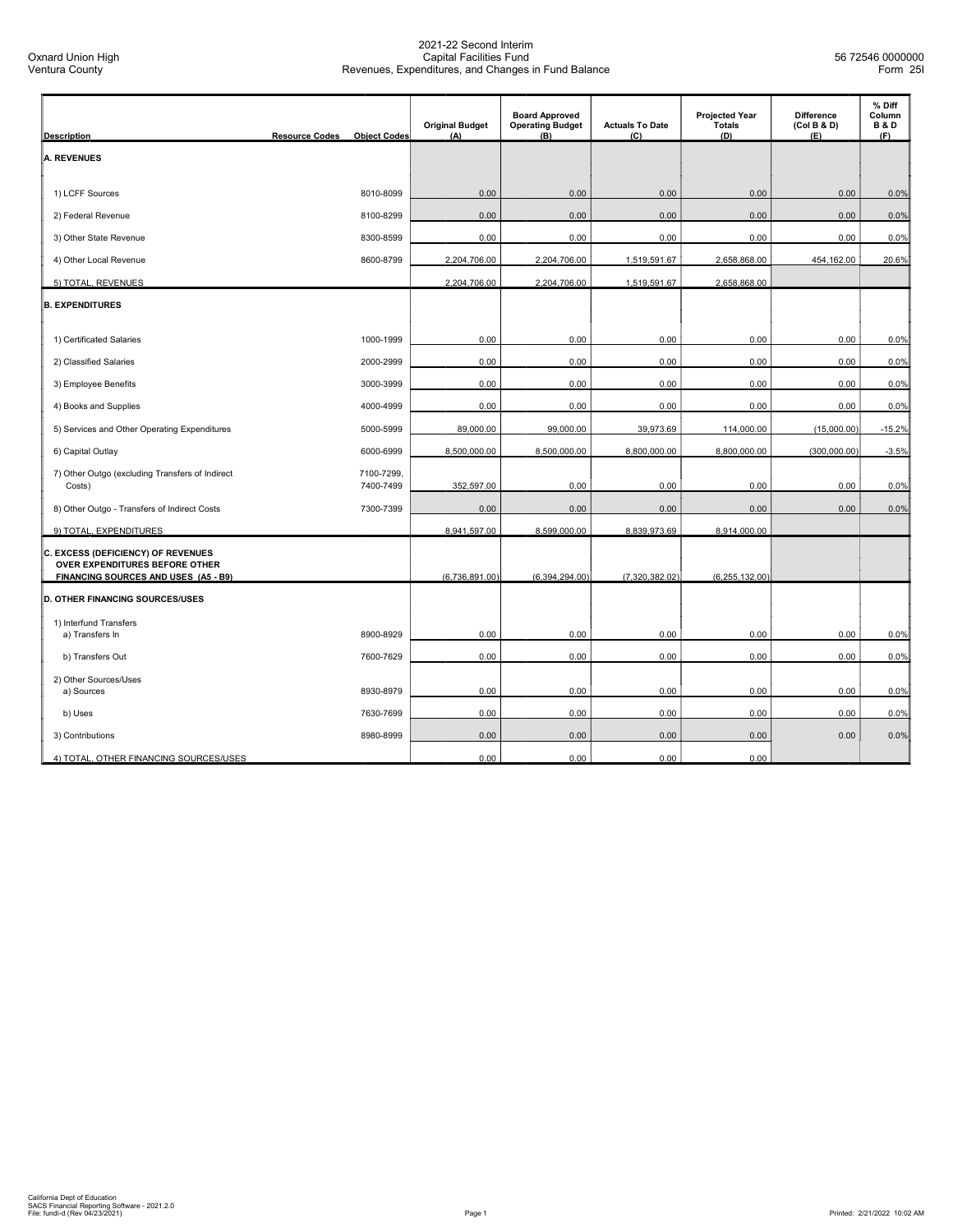| <b>Description</b>                                                     | <b>Resource Codes</b> | <b>Object Codes</b> | <b>Original Budget</b><br>(A) | <b>Board Approved</b><br><b>Operating Budget</b><br>(B) | <b>Actuals To Date</b><br>(C) | <b>Projected Year</b><br><b>Totals</b><br>(D) | <b>Difference</b><br>(Col B & D)<br>(E) | % Diff<br>Column<br><b>B&amp;D</b><br>(F) |
|------------------------------------------------------------------------|-----------------------|---------------------|-------------------------------|---------------------------------------------------------|-------------------------------|-----------------------------------------------|-----------------------------------------|-------------------------------------------|
|                                                                        |                       |                     |                               |                                                         |                               |                                               |                                         |                                           |
| <b>A. REVENUES</b>                                                     |                       |                     |                               |                                                         |                               |                                               |                                         |                                           |
| 1) LCFF Sources                                                        |                       | 8010-8099           | 0.00                          | 0.00                                                    | 0.00                          | 0.00                                          | 0.00                                    | 0.0%                                      |
| 2) Federal Revenue                                                     |                       | 8100-8299           | 0.00                          | 0.00                                                    | 0.00                          | 0.00                                          | 0.00                                    | 0.0%                                      |
| 3) Other State Revenue                                                 |                       | 8300-8599           | 0.00                          | 0.00                                                    | 0.00                          | 0.00                                          | 0.00                                    | 0.0%                                      |
| 4) Other Local Revenue                                                 |                       | 8600-8799           | 2,204,706.00                  | 2,204,706.00                                            | 1,519,591.67                  | 2,658,868.00                                  | 454,162.00                              | 20.6%                                     |
| 5) TOTAL, REVENUES                                                     |                       |                     | 2,204,706.00                  | 2,204,706.00                                            | 1,519,591.67                  | 2,658,868.00                                  |                                         |                                           |
| <b>B. EXPENDITURES</b>                                                 |                       |                     |                               |                                                         |                               |                                               |                                         |                                           |
|                                                                        |                       |                     |                               |                                                         |                               |                                               |                                         |                                           |
| 1) Certificated Salaries                                               |                       | 1000-1999           | 0.00                          | 0.00                                                    | 0.00                          | 0.00                                          | 0.00                                    | 0.0%                                      |
| 2) Classified Salaries                                                 |                       | 2000-2999           | 0.00                          | 0.00                                                    | 0.00                          | 0.00                                          | 0.00                                    | 0.0%                                      |
| 3) Employee Benefits                                                   |                       | 3000-3999           | 0.00                          | 0.00                                                    | 0.00                          | 0.00                                          | 0.00                                    | 0.0%                                      |
| 4) Books and Supplies                                                  |                       | 4000-4999           | 0.00                          | 0.00                                                    | 0.00                          | 0.00                                          | 0.00                                    | 0.0%                                      |
| 5) Services and Other Operating Expenditures                           |                       | 5000-5999           | 89,000.00                     | 99,000.00                                               | 39,973.69                     | 114,000.00                                    | (15,000.00)                             | $-15.2%$                                  |
| 6) Capital Outlay                                                      |                       | 6000-6999           | 8,500,000.00                  | 8,500,000.00                                            | 8,800,000.00                  | 8,800,000.00                                  | (300,000.00)                            | $-3.5%$                                   |
| 7) Other Outgo (excluding Transfers of Indirect                        |                       | 7100-7299,          |                               |                                                         |                               |                                               |                                         |                                           |
| Costs)                                                                 |                       | 7400-7499           | 352,597.00                    | 0.00                                                    | 0.00                          | 0.00                                          | 0.00                                    | 0.0%                                      |
| 8) Other Outgo - Transfers of Indirect Costs                           |                       | 7300-7399           | 0.00                          | 0.00                                                    | 0.00                          | 0.00                                          | 0.00                                    | 0.0%                                      |
| 9) TOTAL, EXPENDITURES                                                 |                       |                     | 8,941,597.00                  | 8,599,000.00                                            | 8,839,973.69                  | 8,914,000.00                                  |                                         |                                           |
| C. EXCESS (DEFICIENCY) OF REVENUES                                     |                       |                     |                               |                                                         |                               |                                               |                                         |                                           |
| OVER EXPENDITURES BEFORE OTHER<br>FINANCING SOURCES AND USES (A5 - B9) |                       |                     | (6,736,891.00)                | (6,394,294.00)                                          | (7,320,382.02)                | (6, 255, 132.00)                              |                                         |                                           |
| <b>D. OTHER FINANCING SOURCES/USES</b>                                 |                       |                     |                               |                                                         |                               |                                               |                                         |                                           |
| 1) Interfund Transfers<br>a) Transfers In                              |                       | 8900-8929           | 0.00                          | 0.00                                                    | 0.00                          | 0.00                                          | 0.00                                    | 0.0%                                      |
| b) Transfers Out                                                       |                       | 7600-7629           | 0.00                          | 0.00                                                    | 0.00                          | 0.00                                          | 0.00                                    | 0.0%                                      |
| 2) Other Sources/Uses                                                  |                       |                     |                               |                                                         |                               |                                               |                                         |                                           |
| a) Sources                                                             |                       | 8930-8979           | 0.00                          | 0.00                                                    | 0.00                          | 0.00                                          | 0.00                                    | 0.0%                                      |
| b) Uses                                                                |                       | 7630-7699           | 0.00                          | 0.00                                                    | 0.00                          | 0.00                                          | 0.00                                    | 0.0%                                      |
| 3) Contributions                                                       |                       | 8980-8999           | 0.00                          | 0.00                                                    | 0.00                          | 0.00                                          | 0.00                                    | 0.0%                                      |
| 4) TOTAL, OTHER FINANCING SOURCES/USES                                 |                       |                     | 0.00                          | 0.00                                                    | 0.00                          | 0.00                                          |                                         |                                           |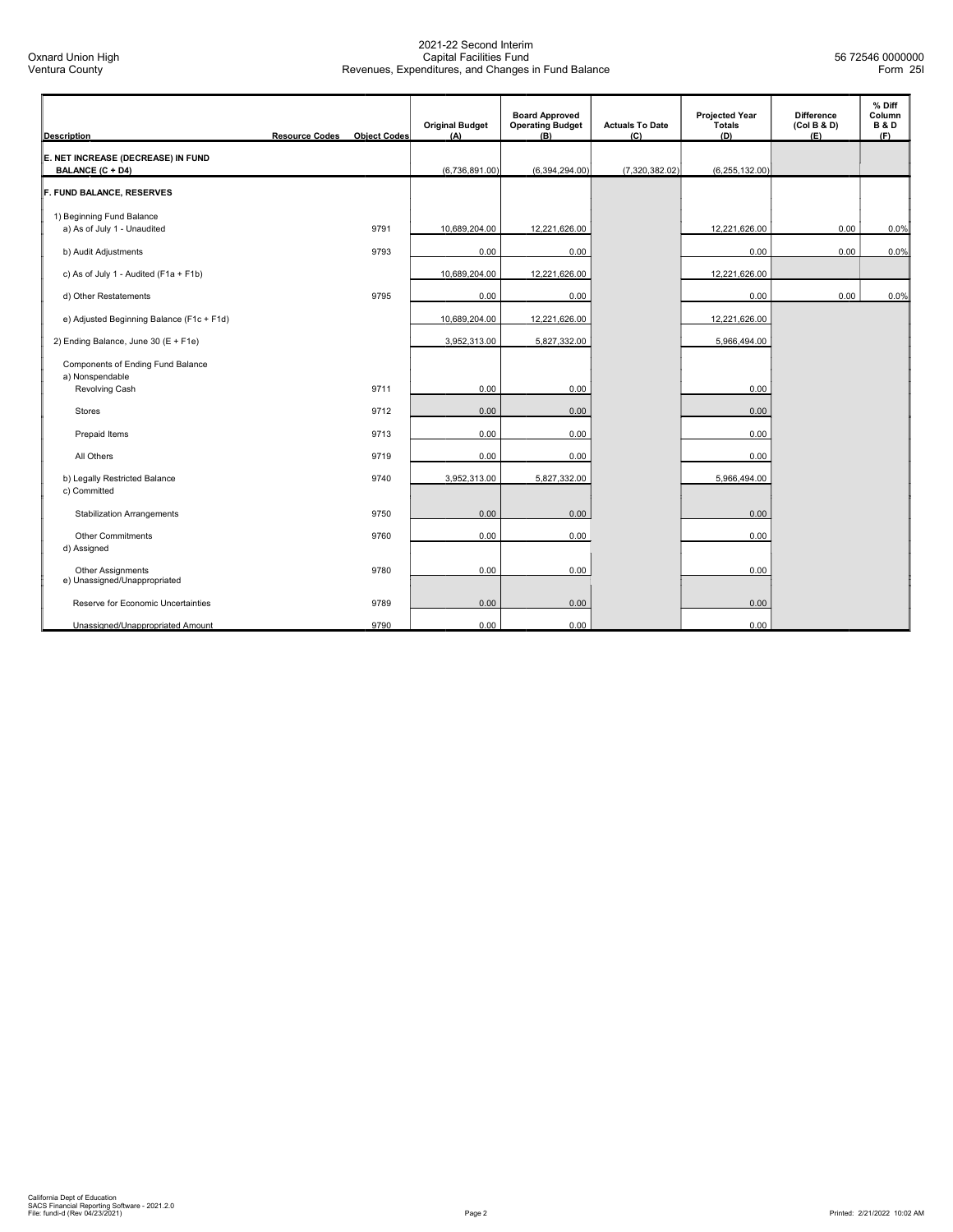| <b>Description</b>                                       | <b>Resource Codes</b> | <b>Object Codes</b> | <b>Original Budget</b><br>(A) | <b>Board Approved</b><br><b>Operating Budget</b><br>(B) | <b>Actuals To Date</b><br>(C) | <b>Projected Year</b><br><b>Totals</b><br>(D) | <b>Difference</b><br>(Col B & D)<br>(E) | % Diff<br>Column<br><b>B&amp;D</b><br>(F) |
|----------------------------------------------------------|-----------------------|---------------------|-------------------------------|---------------------------------------------------------|-------------------------------|-----------------------------------------------|-----------------------------------------|-------------------------------------------|
| E. NET INCREASE (DECREASE) IN FUND<br>BALANCE (C + D4)   |                       |                     | (6,736,891.00)                | (6,394,294.00)                                          | (7,320,382.02)                | (6, 255, 132.00)                              |                                         |                                           |
| F. FUND BALANCE, RESERVES                                |                       |                     |                               |                                                         |                               |                                               |                                         |                                           |
| 1) Beginning Fund Balance<br>a) As of July 1 - Unaudited |                       | 9791                | 10,689,204.00                 | 12,221,626.00                                           |                               | 12,221,626.00                                 | 0.00                                    | 0.0%                                      |
| b) Audit Adjustments                                     |                       | 9793                | 0.00                          | 0.00                                                    |                               | 0.00                                          | 0.00                                    | 0.0%                                      |
| c) As of July 1 - Audited (F1a + F1b)                    |                       |                     | 10,689,204.00                 | 12,221,626.00                                           |                               | 12,221,626.00                                 |                                         |                                           |
| d) Other Restatements                                    |                       | 9795                | 0.00                          | 0.00                                                    |                               | 0.00                                          | 0.00                                    | 0.0%                                      |
| e) Adjusted Beginning Balance (F1c + F1d)                |                       |                     | 10,689,204.00                 | 12,221,626.00                                           |                               | 12,221,626.00                                 |                                         |                                           |
| 2) Ending Balance, June 30 (E + F1e)                     |                       |                     | 3,952,313.00                  | 5,827,332.00                                            |                               | 5,966,494.00                                  |                                         |                                           |
| Components of Ending Fund Balance<br>a) Nonspendable     |                       |                     |                               |                                                         |                               |                                               |                                         |                                           |
| Revolving Cash                                           |                       | 9711                | 0.00                          | 0.00                                                    |                               | 0.00                                          |                                         |                                           |
| <b>Stores</b>                                            |                       | 9712                | 0.00                          | 0.00                                                    |                               | 0.00                                          |                                         |                                           |
| Prepaid Items                                            |                       | 9713                | 0.00                          | 0.00                                                    |                               | 0.00                                          |                                         |                                           |
| All Others                                               |                       | 9719                | 0.00                          | 0.00                                                    |                               | 0.00                                          |                                         |                                           |
| b) Legally Restricted Balance<br>c) Committed            |                       | 9740                | 3,952,313.00                  | 5,827,332.00                                            |                               | 5,966,494.00                                  |                                         |                                           |
| <b>Stabilization Arrangements</b>                        |                       | 9750                | 0.00                          | 0.00                                                    |                               | 0.00                                          |                                         |                                           |
| <b>Other Commitments</b><br>d) Assigned                  |                       | 9760                | 0.00                          | 0.00                                                    |                               | 0.00                                          |                                         |                                           |
| Other Assignments<br>e) Unassigned/Unappropriated        |                       | 9780                | 0.00                          | 0.00                                                    |                               | 0.00                                          |                                         |                                           |
| Reserve for Economic Uncertainties                       |                       | 9789                | 0.00                          | 0.00                                                    |                               | 0.00                                          |                                         |                                           |
| Unassigned/Unappropriated Amount                         |                       | 9790                | 0.00                          | 0.00                                                    |                               | 0.00                                          |                                         |                                           |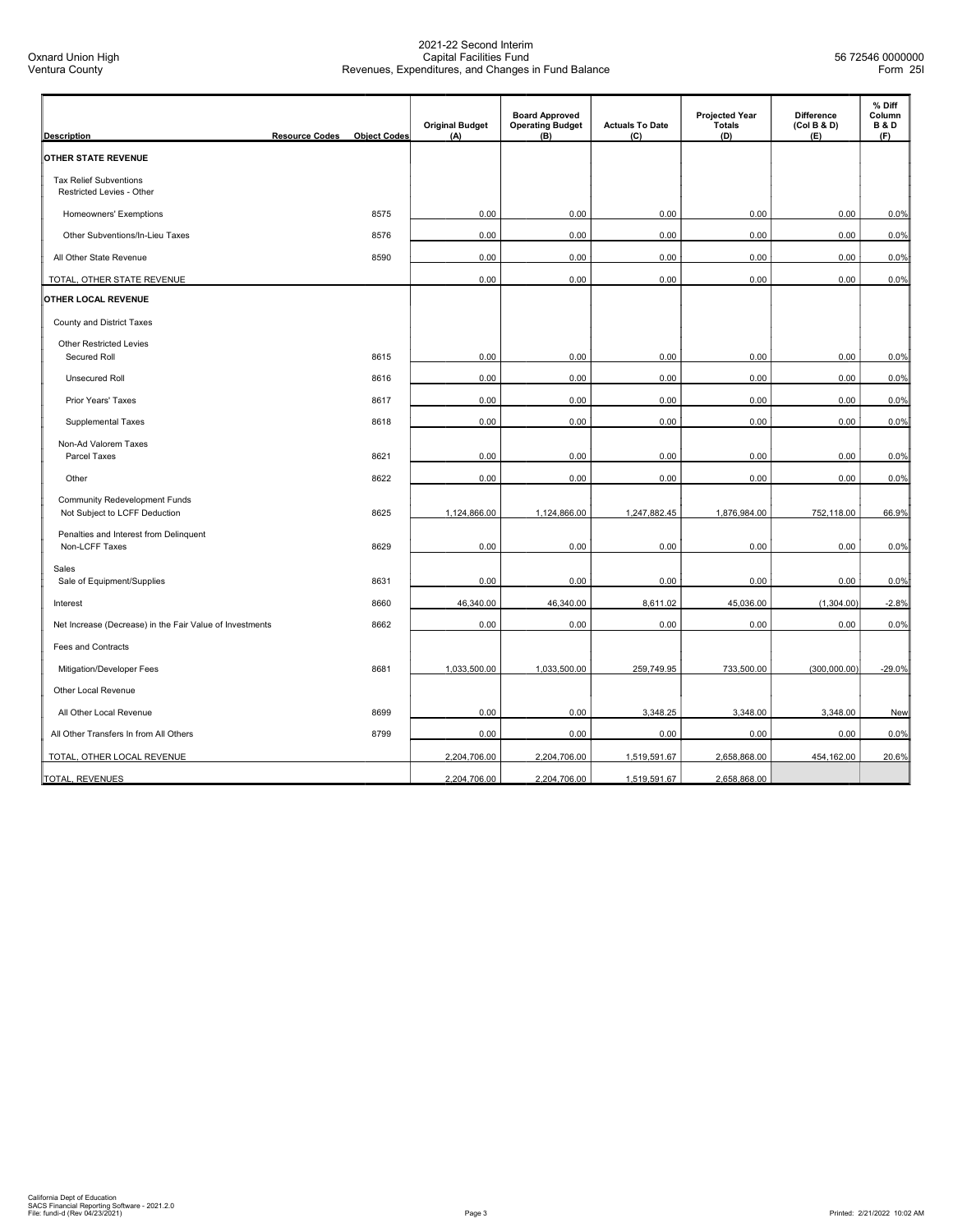Oxnard Union High Ventura County

| <b>Description</b>                                                    | <b>Resource Codes</b> | <b>Object Codes</b> | <b>Original Budget</b><br>(A) | <b>Board Approved</b><br><b>Operating Budget</b><br>(B) | <b>Actuals To Date</b><br>(C) | <b>Projected Year</b><br><b>Totals</b><br>(D) | <b>Difference</b><br>(Col B & D)<br>(E) | % Diff<br>Column<br><b>B&amp;D</b><br>(F) |
|-----------------------------------------------------------------------|-----------------------|---------------------|-------------------------------|---------------------------------------------------------|-------------------------------|-----------------------------------------------|-----------------------------------------|-------------------------------------------|
| OTHER STATE REVENUE                                                   |                       |                     |                               |                                                         |                               |                                               |                                         |                                           |
| <b>Tax Relief Subventions</b><br>Restricted Levies - Other            |                       |                     |                               |                                                         |                               |                                               |                                         |                                           |
| Homeowners' Exemptions                                                |                       | 8575                | 0.00                          | 0.00                                                    | 0.00                          | 0.00                                          | 0.00                                    | 0.0%                                      |
| Other Subventions/In-Lieu Taxes                                       |                       | 8576                | 0.00                          | 0.00                                                    | 0.00                          | 0.00                                          | 0.00                                    | 0.0%                                      |
| All Other State Revenue                                               |                       | 8590                | 0.00                          | 0.00                                                    | 0.00                          | 0.00                                          | 0.00                                    | 0.0%                                      |
| TOTAL, OTHER STATE REVENUE                                            |                       |                     | 0.00                          | 0.00                                                    | 0.00                          | 0.00                                          | 0.00                                    | 0.0%                                      |
| OTHER LOCAL REVENUE                                                   |                       |                     |                               |                                                         |                               |                                               |                                         |                                           |
| County and District Taxes                                             |                       |                     |                               |                                                         |                               |                                               |                                         |                                           |
| <b>Other Restricted Levies</b><br>Secured Roll                        |                       | 8615                | 0.00                          | 0.00                                                    | 0.00                          | 0.00                                          | 0.00                                    | 0.0%                                      |
| <b>Unsecured Roll</b>                                                 |                       | 8616                | 0.00                          | 0.00                                                    | 0.00                          | 0.00                                          | 0.00                                    | 0.0%                                      |
| Prior Years' Taxes                                                    |                       | 8617                | 0.00                          | 0.00                                                    | 0.00                          | 0.00                                          | 0.00                                    | 0.0%                                      |
| <b>Supplemental Taxes</b>                                             |                       | 8618                | 0.00                          | 0.00                                                    | 0.00                          | 0.00                                          | 0.00                                    | 0.0%                                      |
| Non-Ad Valorem Taxes<br>Parcel Taxes                                  |                       | 8621                | 0.00                          | 0.00                                                    | 0.00                          | 0.00                                          | 0.00                                    | 0.0%                                      |
| Other                                                                 |                       | 8622                | 0.00                          | 0.00                                                    | 0.00                          | 0.00                                          | 0.00                                    | 0.0%                                      |
| <b>Community Redevelopment Funds</b><br>Not Subject to LCFF Deduction |                       | 8625                | 1,124,866.00                  | 1,124,866.00                                            | 1,247,882.45                  | 1,876,984.00                                  | 752,118.00                              | 66.9%                                     |
| Penalties and Interest from Delinquent<br>Non-LCFF Taxes              |                       | 8629                | 0.00                          | 0.00                                                    | 0.00                          | 0.00                                          | 0.00                                    | 0.0%                                      |
| Sales<br>Sale of Equipment/Supplies                                   |                       | 8631                | 0.00                          | 0.00                                                    | 0.00                          | 0.00                                          | 0.00                                    | 0.0%                                      |
| Interest                                                              |                       | 8660                | 46,340.00                     | 46,340.00                                               | 8,611.02                      | 45,036.00                                     | (1,304.00)                              | $-2.8%$                                   |
| Net Increase (Decrease) in the Fair Value of Investments              |                       | 8662                | 0.00                          | 0.00                                                    | 0.00                          | 0.00                                          | 0.00                                    | 0.0%                                      |
| Fees and Contracts                                                    |                       |                     |                               |                                                         |                               |                                               |                                         |                                           |
| Mitigation/Developer Fees                                             |                       | 8681                | 1,033,500.00                  | 1,033,500.00                                            | 259,749.95                    | 733,500.00                                    | (300,000.00)                            | $-29.0%$                                  |
| Other Local Revenue                                                   |                       |                     |                               |                                                         |                               |                                               |                                         |                                           |
| All Other Local Revenue                                               |                       | 8699                | 0.00                          | 0.00                                                    | 3,348.25                      | 3,348.00                                      | 3,348.00                                | <b>New</b>                                |
| All Other Transfers In from All Others                                |                       | 8799                | 0.00                          | 0.00                                                    | 0.00                          | 0.00                                          | 0.00                                    | 0.0%                                      |
| TOTAL, OTHER LOCAL REVENUE                                            |                       |                     | 2,204,706.00                  | 2,204,706.00                                            | 1,519,591.67                  | 2,658,868.00                                  | 454,162.00                              | 20.6%                                     |
| TOTAL, REVENUES                                                       |                       |                     | 2,204,706.00                  | 2,204,706.00                                            | 1,519,591.67                  | 2,658,868.00                                  |                                         |                                           |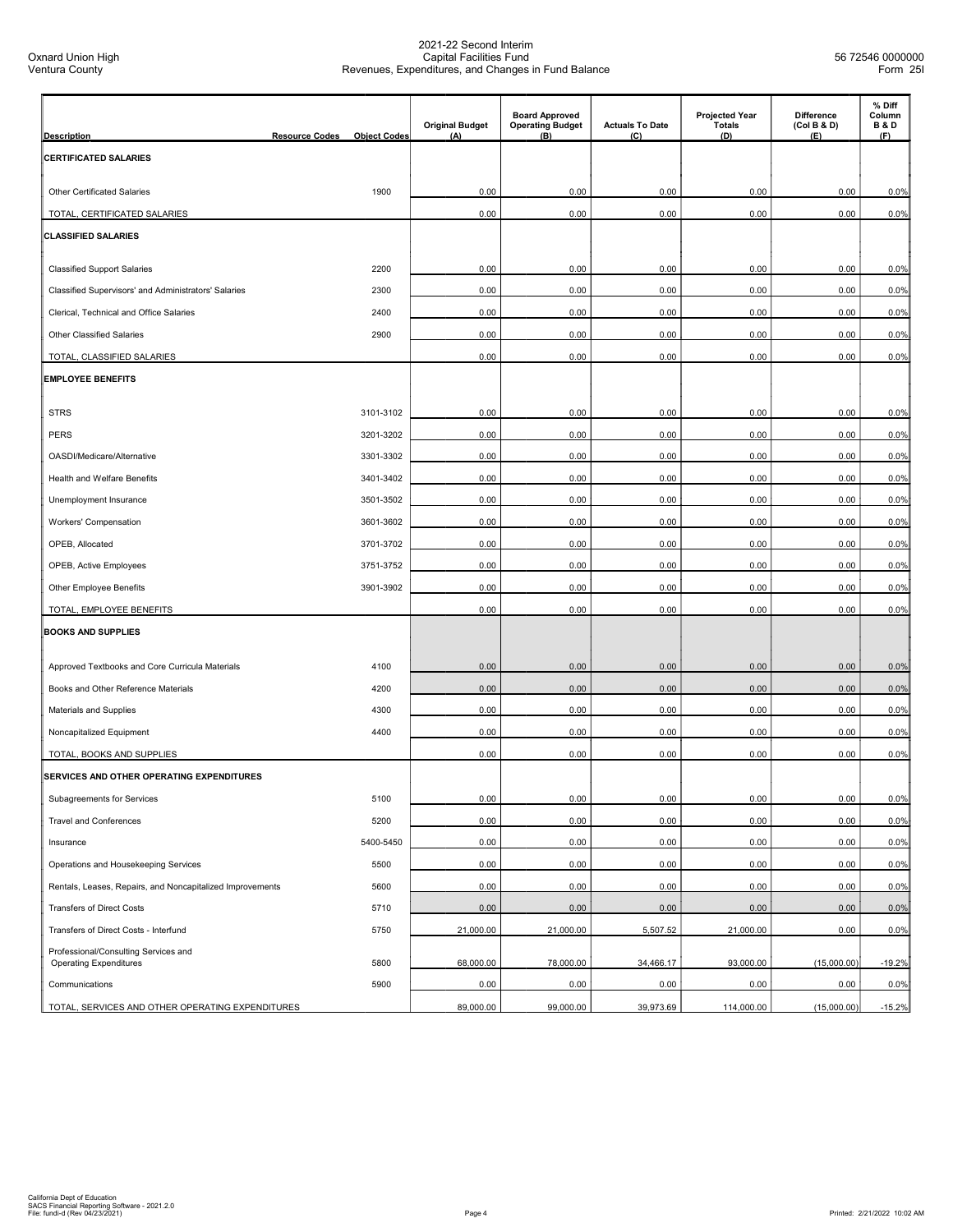| <b>Description</b>                                                                         | <b>Resource Codes</b> | <b>Object Codes</b> | <b>Original Budget</b><br>(A) | <b>Board Approved</b><br><b>Operating Budget</b><br>(B) | <b>Actuals To Date</b><br>(C) | <b>Projected Year</b><br><b>Totals</b><br>(D) | <b>Difference</b><br>(Col B & D)<br>(E) | % Diff<br>Column<br><b>B&amp;D</b><br>(F) |
|--------------------------------------------------------------------------------------------|-----------------------|---------------------|-------------------------------|---------------------------------------------------------|-------------------------------|-----------------------------------------------|-----------------------------------------|-------------------------------------------|
| <b>CERTIFICATED SALARIES</b>                                                               |                       |                     |                               |                                                         |                               |                                               |                                         |                                           |
|                                                                                            |                       |                     |                               |                                                         |                               |                                               |                                         |                                           |
| <b>Other Certificated Salaries</b>                                                         |                       | 1900                | 0.00                          | 0.00                                                    | 0.00                          | 0.00                                          | 0.00                                    | 0.0%                                      |
| TOTAL, CERTIFICATED SALARIES                                                               |                       |                     | 0.00                          | 0.00                                                    | 0.00                          | 0.00                                          | 0.00                                    | 0.0%                                      |
| <b>CLASSIFIED SALARIES</b>                                                                 |                       |                     |                               |                                                         |                               |                                               |                                         |                                           |
|                                                                                            |                       | 2200                | 0.00                          | 0.00                                                    | 0.00                          | 0.00                                          | 0.00                                    |                                           |
| <b>Classified Support Salaries</b><br>Classified Supervisors' and Administrators' Salaries |                       | 2300                | 0.00                          | 0.00                                                    | 0.00                          | 0.00                                          | 0.00                                    | 0.0%<br>0.0%                              |
|                                                                                            |                       | 2400                | 0.00                          | 0.00                                                    | 0.00                          | 0.00                                          | 0.00                                    |                                           |
| Clerical, Technical and Office Salaries                                                    |                       |                     |                               |                                                         |                               |                                               |                                         | 0.0%                                      |
| <b>Other Classified Salaries</b>                                                           |                       | 2900                | 0.00                          | 0.00                                                    | 0.00                          | 0.00                                          | 0.00                                    | 0.0%                                      |
| TOTAL, CLASSIFIED SALARIES                                                                 |                       |                     | 0.00                          | 0.00                                                    | 0.00                          | 0.00                                          | 0.00                                    | 0.0%                                      |
| <b>EMPLOYEE BENEFITS</b>                                                                   |                       |                     |                               |                                                         |                               |                                               |                                         |                                           |
| <b>STRS</b>                                                                                |                       | 3101-3102           | 0.00                          | 0.00                                                    | 0.00                          | 0.00                                          | 0.00                                    | 0.0%                                      |
| <b>PERS</b>                                                                                |                       | 3201-3202           | 0.00                          | 0.00                                                    | 0.00                          | 0.00                                          | 0.00                                    | 0.0%                                      |
| OASDI/Medicare/Alternative                                                                 |                       | 3301-3302           | 0.00                          | 0.00                                                    | 0.00                          | 0.00                                          | 0.00                                    | 0.0%                                      |
| Health and Welfare Benefits                                                                |                       | 3401-3402           | 0.00                          | 0.00                                                    | 0.00                          | 0.00                                          | 0.00                                    | 0.0%                                      |
| Unemployment Insurance                                                                     |                       | 3501-3502           | 0.00                          | 0.00                                                    | 0.00                          | 0.00                                          | 0.00                                    | 0.0%                                      |
| Workers' Compensation                                                                      |                       | 3601-3602           | 0.00                          | 0.00                                                    | 0.00                          | 0.00                                          | 0.00                                    | 0.0%                                      |
| OPEB, Allocated                                                                            |                       | 3701-3702           | 0.00                          | 0.00                                                    | 0.00                          | 0.00                                          | 0.00                                    | 0.0%                                      |
| OPEB, Active Employees                                                                     |                       | 3751-3752           | 0.00                          | 0.00                                                    | 0.00                          | 0.00                                          | 0.00                                    | 0.0%                                      |
| Other Employee Benefits                                                                    |                       | 3901-3902           | 0.00                          | 0.00                                                    | 0.00                          | 0.00                                          | 0.00                                    | 0.0%                                      |
| TOTAL, EMPLOYEE BENEFITS                                                                   |                       |                     | 0.00                          | 0.00                                                    | 0.00                          | 0.00                                          | 0.00                                    | 0.0%                                      |
| <b>BOOKS AND SUPPLIES</b>                                                                  |                       |                     |                               |                                                         |                               |                                               |                                         |                                           |
|                                                                                            |                       |                     |                               |                                                         |                               |                                               |                                         |                                           |
| Approved Textbooks and Core Curricula Materials                                            |                       | 4100                | 0.00                          | 0.00                                                    | 0.00                          | 0.00                                          | 0.00                                    | 0.0%                                      |
| Books and Other Reference Materials                                                        |                       | 4200                | 0.00                          | 0.00                                                    | 0.00                          | 0.00                                          | 0.00                                    | 0.0%                                      |
| Materials and Supplies                                                                     |                       | 4300                | 0.00                          | 0.00                                                    | 0.00                          | 0.00                                          | 0.00                                    | 0.0%                                      |
| Noncapitalized Equipment                                                                   |                       | 4400                | 0.00                          | 0.00                                                    | 0.00                          | 0.00                                          | 0.00                                    | 0.0%                                      |
| TOTAL, BOOKS AND SUPPLIES                                                                  |                       |                     | 0.00                          | 0.00                                                    | 0.00                          | 0.00                                          | 0.00                                    | 0.0%                                      |
| SERVICES AND OTHER OPERATING EXPENDITURES                                                  |                       |                     |                               |                                                         |                               |                                               |                                         |                                           |
| Subagreements for Services                                                                 |                       | 5100                | 0.00                          | 0.00                                                    | 0.00                          | 0.00                                          | 0.00                                    | 0.0%                                      |
| <b>Travel and Conferences</b>                                                              |                       | 5200                | 0.00                          | 0.00                                                    | 0.00                          | 0.00                                          | 0.00                                    | 0.0%                                      |
| Insurance                                                                                  |                       | 5400-5450           | 0.00                          | 0.00                                                    | 0.00                          | 0.00                                          | 0.00                                    | 0.0%                                      |
| Operations and Housekeeping Services                                                       |                       | 5500                | 0.00                          | 0.00                                                    | 0.00                          | 0.00                                          | 0.00                                    | 0.0%                                      |
| Rentals, Leases, Repairs, and Noncapitalized Improvements                                  |                       | 5600                | 0.00                          | 0.00                                                    | 0.00                          | 0.00                                          | 0.00                                    | 0.0%                                      |
| <b>Transfers of Direct Costs</b>                                                           |                       | 5710                | 0.00                          | 0.00                                                    | 0.00                          | 0.00                                          | 0.00                                    | 0.0%                                      |
| Transfers of Direct Costs - Interfund                                                      |                       | 5750                | 21,000.00                     | 21,000.00                                               | 5,507.52                      | 21,000.00                                     | 0.00                                    | 0.0%                                      |
| Professional/Consulting Services and<br><b>Operating Expenditures</b>                      |                       | 5800                | 68,000.00                     | 78,000.00                                               | 34,466.17                     | 93,000.00                                     | (15,000.00)                             | $-19.2%$                                  |
| Communications                                                                             |                       | 5900                | 0.00                          | 0.00                                                    | 0.00                          | 0.00                                          | 0.00                                    | 0.0%                                      |
| TOTAL, SERVICES AND OTHER OPERATING EXPENDITURES                                           |                       |                     | 89,000.00                     | 99,000.00                                               | 39,973.69                     | 114,000.00                                    | (15,000.00)                             | $-15.2%$                                  |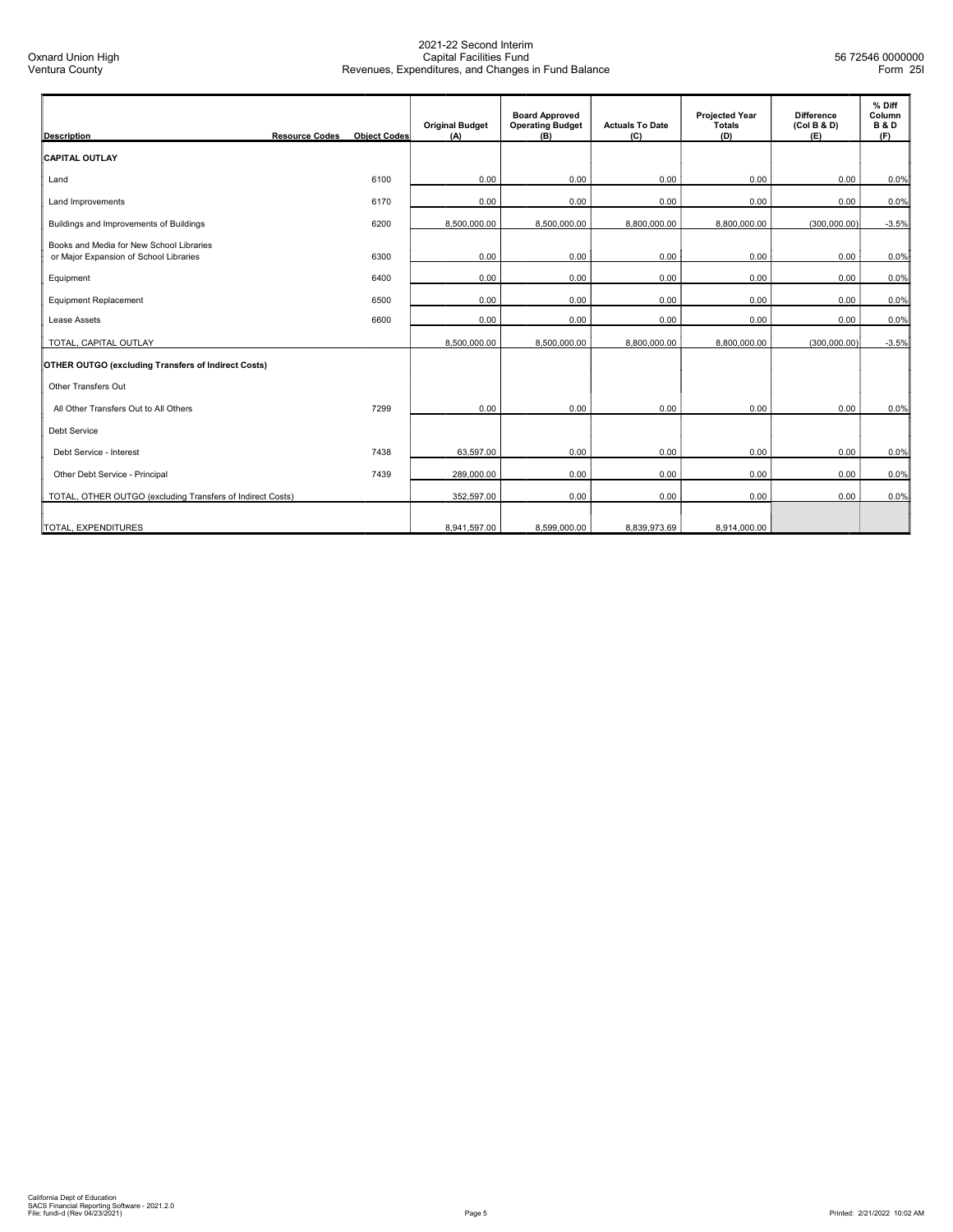| <b>Description</b>                                                                 | <b>Resource Codes</b><br><b>Object Codes</b> | <b>Original Budget</b><br>(A) | <b>Board Approved</b><br><b>Operating Budget</b><br>(B) | <b>Actuals To Date</b><br>(C) | <b>Projected Year</b><br><b>Totals</b><br>(D) | <b>Difference</b><br>(Col B & D)<br>(E) | % Diff<br>Column<br><b>B&amp;D</b><br>(F) |
|------------------------------------------------------------------------------------|----------------------------------------------|-------------------------------|---------------------------------------------------------|-------------------------------|-----------------------------------------------|-----------------------------------------|-------------------------------------------|
| <b>CAPITAL OUTLAY</b>                                                              |                                              |                               |                                                         |                               |                                               |                                         |                                           |
| Land                                                                               | 6100                                         | 0.00                          | 0.00                                                    | 0.00                          | 0.00                                          | 0.00                                    | 0.0%                                      |
| Land Improvements                                                                  | 6170                                         | 0.00                          | 0.00                                                    | 0.00                          | 0.00                                          | 0.00                                    | 0.0%                                      |
| Buildings and Improvements of Buildings                                            | 6200                                         | 8,500,000.00                  | 8,500,000.00                                            | 8,800,000.00                  | 8,800,000.00                                  | (300,000.00)                            | $-3.5%$                                   |
| Books and Media for New School Libraries<br>or Major Expansion of School Libraries | 6300                                         | 0.00                          | 0.00                                                    | 0.00                          | 0.00                                          | 0.00                                    | 0.0%                                      |
| Equipment                                                                          | 6400                                         | 0.00                          | 0.00                                                    | 0.00                          | 0.00                                          | 0.00                                    | 0.0%                                      |
| Equipment Replacement                                                              | 6500                                         | 0.00                          | 0.00                                                    | 0.00                          | 0.00                                          | 0.00                                    | 0.0%                                      |
| Lease Assets                                                                       | 6600                                         | 0.00                          | 0.00                                                    | 0.00                          | 0.00                                          | 0.00                                    | 0.0%                                      |
| TOTAL, CAPITAL OUTLAY                                                              |                                              | 8,500,000.00                  | 8,500,000.00                                            | 8,800,000.00                  | 8,800,000.00                                  | (300,000.00)                            | $-3.5%$                                   |
| OTHER OUTGO (excluding Transfers of Indirect Costs)                                |                                              |                               |                                                         |                               |                                               |                                         |                                           |
| Other Transfers Out                                                                |                                              |                               |                                                         |                               |                                               |                                         |                                           |
| All Other Transfers Out to All Others                                              | 7299                                         | 0.00                          | 0.00                                                    | 0.00                          | 0.00                                          | 0.00                                    | 0.0%                                      |
| <b>Debt Service</b>                                                                |                                              |                               |                                                         |                               |                                               |                                         |                                           |
| Debt Service - Interest                                                            | 7438                                         | 63.597.00                     | 0.00                                                    | 0.00                          | 0.00                                          | 0.00                                    | 0.0%                                      |
| Other Debt Service - Principal                                                     | 7439                                         | 289,000.00                    | 0.00                                                    | 0.00                          | 0.00                                          | 0.00                                    | 0.0%                                      |
| TOTAL, OTHER OUTGO (excluding Transfers of Indirect Costs)                         |                                              | 352,597.00                    | 0.00                                                    | 0.00                          | 0.00                                          | 0.00                                    | 0.0%                                      |
| TOTAL, EXPENDITURES                                                                |                                              | 8.941.597.00                  | 8.599.000.00                                            | 8.839.973.69                  | 8.914.000.00                                  |                                         |                                           |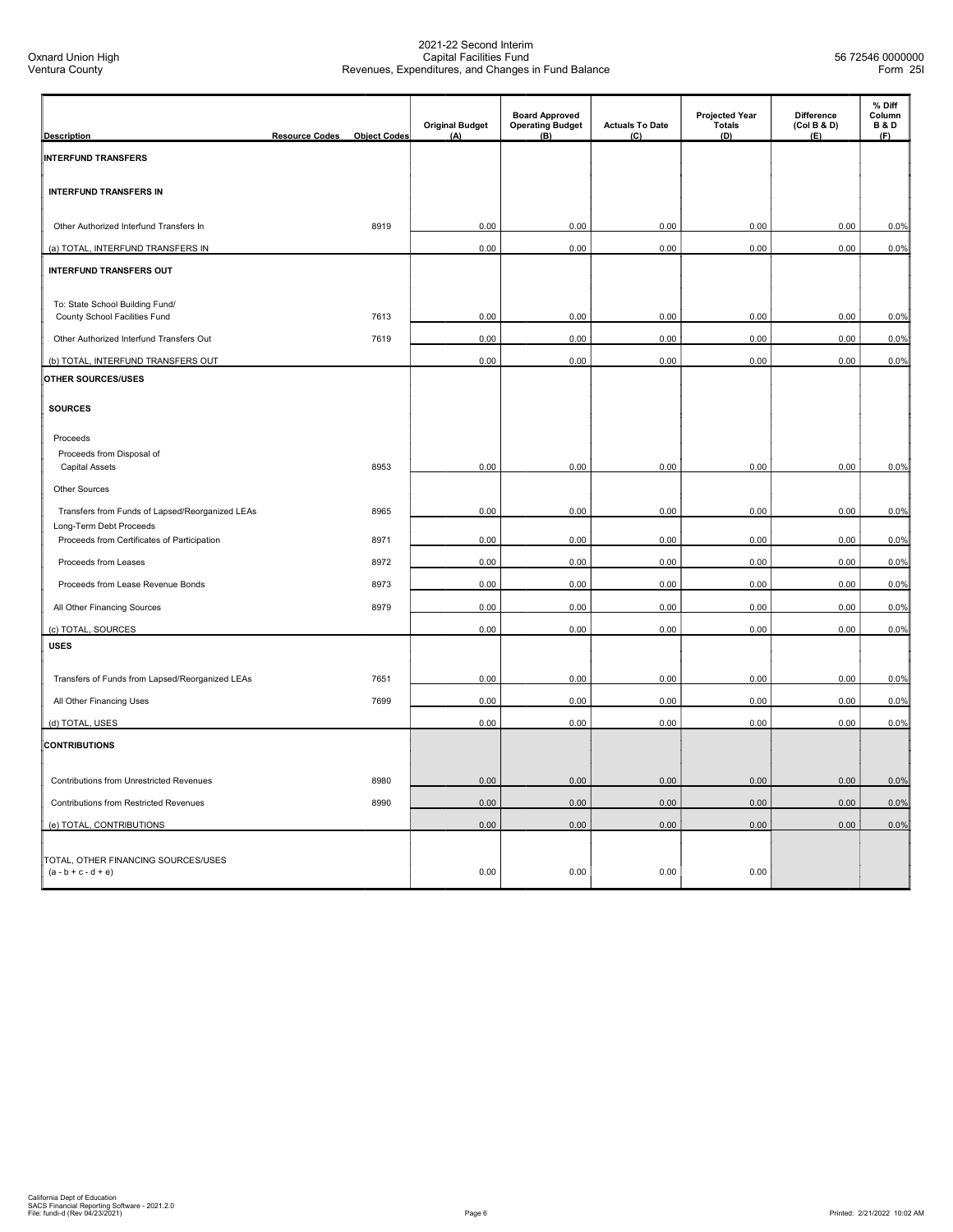| <b>Description</b>                                                     | <b>Resource Codes</b> | <b>Object Codes</b> | <b>Original Budget</b><br>(A) | <b>Board Approved</b><br><b>Operating Budget</b><br>(B) | <b>Actuals To Date</b><br>(C) | <b>Projected Year</b><br><b>Totals</b><br>(D) | Difference<br>(Col B & D)<br>(E) | % Diff<br>Column<br><b>B&amp;D</b><br>(F) |
|------------------------------------------------------------------------|-----------------------|---------------------|-------------------------------|---------------------------------------------------------|-------------------------------|-----------------------------------------------|----------------------------------|-------------------------------------------|
| <b>INTERFUND TRANSFERS</b>                                             |                       |                     |                               |                                                         |                               |                                               |                                  |                                           |
| <b>INTERFUND TRANSFERS IN</b>                                          |                       |                     |                               |                                                         |                               |                                               |                                  |                                           |
| Other Authorized Interfund Transfers In                                |                       | 8919                | 0.00                          | 0.00                                                    | 0.00                          | 0.00                                          | 0.00                             | 0.0%                                      |
| (a) TOTAL, INTERFUND TRANSFERS IN                                      |                       |                     | 0.00                          | 0.00                                                    | 0.00                          | 0.00                                          | 0.00                             | 0.0%                                      |
| <b>INTERFUND TRANSFERS OUT</b>                                         |                       |                     |                               |                                                         |                               |                                               |                                  |                                           |
| To: State School Building Fund/<br>County School Facilities Fund       |                       | 7613                | 0.00                          | 0.00                                                    | 0.00                          | 0.00                                          | 0.00                             | 0.0%                                      |
| Other Authorized Interfund Transfers Out                               |                       | 7619                | 0.00                          | 0.00                                                    | 0.00                          | 0.00                                          | 0.00                             | 0.0%                                      |
| (b) TOTAL, INTERFUND TRANSFERS OUT                                     |                       |                     | 0.00                          | 0.00                                                    | 0.00                          | 0.00                                          | 0.00                             | 0.0%                                      |
| OTHER SOURCES/USES                                                     |                       |                     |                               |                                                         |                               |                                               |                                  |                                           |
| <b>SOURCES</b>                                                         |                       |                     |                               |                                                         |                               |                                               |                                  |                                           |
| Proceeds                                                               |                       |                     |                               |                                                         |                               |                                               |                                  |                                           |
| Proceeds from Disposal of<br><b>Capital Assets</b>                     |                       | 8953                | 0.00                          | 0.00                                                    | 0.00                          | 0.00                                          | 0.00                             | 0.0%                                      |
| <b>Other Sources</b>                                                   |                       |                     |                               |                                                         |                               |                                               |                                  |                                           |
| Transfers from Funds of Lapsed/Reorganized LEAs                        |                       | 8965                | 0.00                          | 0.00                                                    | 0.00                          | 0.00                                          | 0.00                             | 0.0%                                      |
| Long-Term Debt Proceeds<br>Proceeds from Certificates of Participation |                       | 8971                | 0.00                          | 0.00                                                    | 0.00                          | 0.00                                          | 0.00                             | 0.0%                                      |
| Proceeds from Leases                                                   |                       | 8972                | 0.00                          | 0.00                                                    | 0.00                          | 0.00                                          | 0.00                             | 0.0%                                      |
| Proceeds from Lease Revenue Bonds                                      |                       | 8973                | 0.00                          | 0.00                                                    | 0.00                          | 0.00                                          | 0.00                             | 0.0%                                      |
|                                                                        |                       | 8979                | 0.00                          | 0.00                                                    |                               |                                               |                                  |                                           |
| All Other Financing Sources                                            |                       |                     |                               |                                                         | 0.00                          | 0.00                                          | 0.00                             | 0.0%                                      |
| (c) TOTAL, SOURCES<br><b>USES</b>                                      |                       |                     | 0.00                          | 0.00                                                    | 0.00                          | 0.00                                          | 0.00                             | 0.0%                                      |
|                                                                        |                       |                     |                               |                                                         |                               |                                               |                                  |                                           |
| Transfers of Funds from Lapsed/Reorganized LEAs                        |                       | 7651                | 0.00                          | 0.00                                                    | 0.00                          | 0.00                                          | 0.00                             | 0.0%                                      |
| All Other Financing Uses                                               |                       | 7699                | 0.00                          | 0.00                                                    | 0.00                          | 0.00                                          | 0.00                             | 0.0%                                      |
| (d) TOTAL, USES                                                        |                       |                     | 0.00                          | 0.00                                                    | 0.00                          | 0.00                                          | 0.00                             | 0.0%                                      |
| <b>CONTRIBUTIONS</b>                                                   |                       |                     |                               |                                                         |                               |                                               |                                  |                                           |
| Contributions from Unrestricted Revenues                               |                       | 8980                | 0.00                          | 0.00                                                    | 0.00                          | 0.00                                          | 0.00                             | 0.0%                                      |
| <b>Contributions from Restricted Revenues</b>                          |                       | 8990                | 0.00                          | 0.00                                                    | 0.00                          | 0.00                                          | 0.00                             | 0.0%                                      |
| (e) TOTAL, CONTRIBUTIONS                                               |                       |                     | 0.00                          | 0.00                                                    | 0.00                          | 0.00                                          | 0.00                             | 0.0%                                      |
| TOTAL, OTHER FINANCING SOURCES/USES<br>$(a - b + c - d + e)$           |                       |                     | 0.00                          | 0.00                                                    | 0.00                          | 0.00                                          |                                  |                                           |